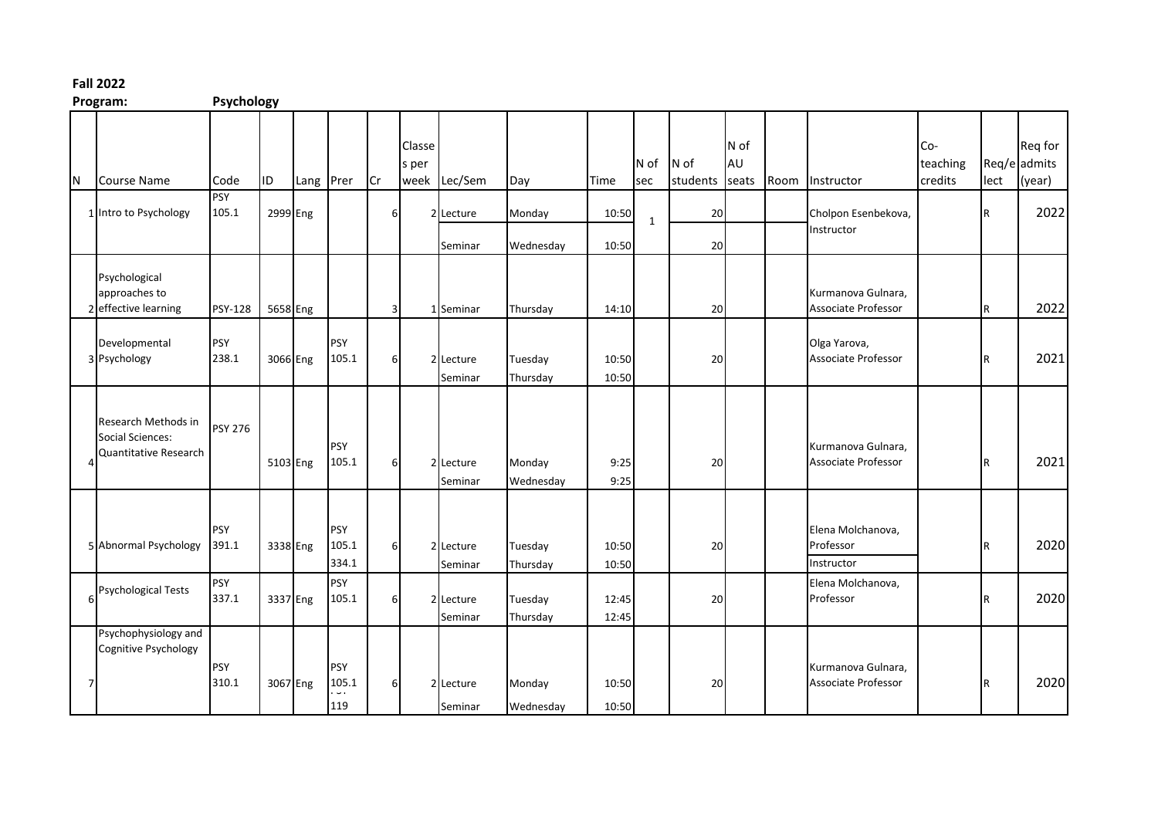## **Fall 2022**

**Program: Psychology**

|   | . . 02.9.1.1.                                                    | $.97$               |          |           |                              |                         |                 |                      |                     |                |                  |          |                     |      |                                              |                            |      |                                   |
|---|------------------------------------------------------------------|---------------------|----------|-----------|------------------------------|-------------------------|-----------------|----------------------|---------------------|----------------|------------------|----------|---------------------|------|----------------------------------------------|----------------------------|------|-----------------------------------|
| N | Course Name                                                      | Code                | ID.      | Lang Prer |                              | Cr                      | Classe<br>s per | week Lec/Sem         | Day                 | Time           | N of N of<br>sec | students | N of<br>AU<br>seats | Room | Instructor                                   | Co-<br>teaching<br>credits | lect | Req for<br>Req/e admits<br>(year) |
|   | 1 Intro to Psychology                                            | <b>PSY</b><br>105.1 |          | 2999 Eng  |                              | 6                       |                 | 2 Lecture            | Monday              | 10:50          | $\mathbf{1}$     | 20       |                     |      | Cholpon Esenbekova,<br>Instructor            |                            |      | 2022                              |
|   |                                                                  |                     |          |           |                              |                         |                 | Seminar              | Wednesday           | 10:50          |                  | 20       |                     |      |                                              |                            |      |                                   |
|   | Psychological<br>approaches to<br>2 effective learning           | <b>PSY-128</b>      | 5658 Eng |           |                              | $\overline{\mathbf{3}}$ |                 | 1 Seminar            | Thursday            | 14:10          |                  | 20       |                     |      | Kurmanova Gulnara,<br>Associate Professor    |                            |      | 2022                              |
|   | Developmental<br>3 Psychology                                    | <b>PSY</b><br>238.1 |          | 3066 Eng  | <b>PSY</b><br>105.1          | $6 \mid$                |                 | 2 Lecture<br>Seminar | Tuesday<br>Thursday | 10:50<br>10:50 |                  | 20       |                     |      | Olga Yarova,<br>Associate Professor          |                            | R    | 2021                              |
|   | Research Methods in<br>Social Sciences:<br>Quantitative Research | <b>PSY 276</b>      |          | 5103 Eng  | <b>PSY</b><br>105.1          | $6 \mid$                |                 | 2 Lecture<br>Seminar | Monday<br>Wednesday | 9:25<br>9:25   |                  | 20       |                     |      | Kurmanova Gulnara,<br>Associate Professor    |                            |      | 2021                              |
|   | 5 Abnormal Psychology                                            | <b>PSY</b><br>391.1 |          | 3338 Eng  | <b>PSY</b><br>105.1<br>334.1 | $6 \mid$                |                 | 2 Lecture<br>Seminar | Tuesday<br>Thursday | 10:50<br>10:50 |                  | 20       |                     |      | Elena Molchanova,<br>Professor<br>Instructor |                            | R    | 2020                              |
|   | <b>Psychological Tests</b>                                       | <b>PSY</b><br>337.1 |          | 3337 Eng  | <b>PSY</b><br>105.1          | 6                       |                 | 2 Lecture<br>Seminar | Tuesday<br>Thursday | 12:45<br>12:45 |                  | 20       |                     |      | Elena Molchanova,<br>Professor               |                            |      | 2020                              |
|   | Psychophysiology and<br>Cognitive Psychology                     | <b>PSY</b><br>310.1 |          | 3067 Eng  | <b>PSY</b><br>105.1<br>119   | $6 \overline{6}$        |                 | 2 Lecture<br>Seminar | Monday<br>Wednesday | 10:50<br>10:50 |                  | 20       |                     |      | Kurmanova Gulnara,<br>Associate Professor    |                            |      | 2020                              |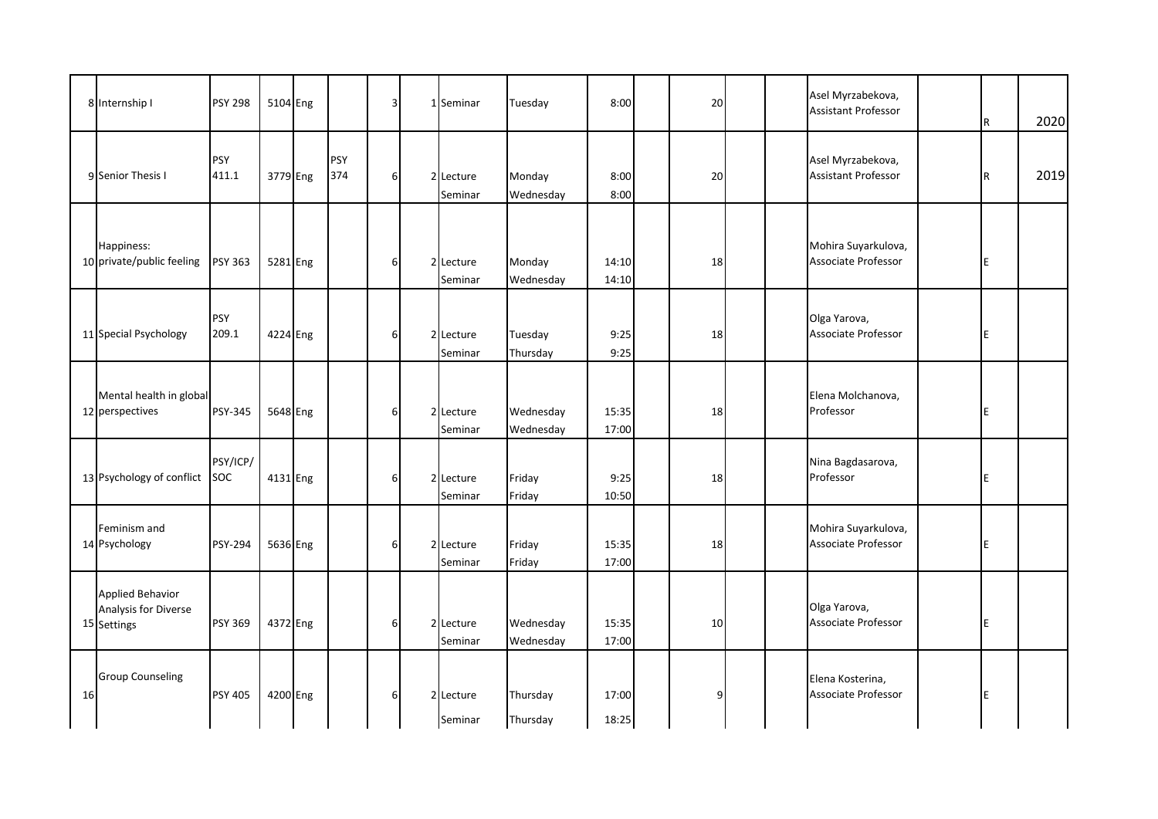|    | 8 Internship I                                                 | <b>PSY 298</b>      | 5104 Eng |                   | $\overline{3}$   | $\mathbf{1}$ | Seminar              | Tuesday                | 8:00           | 20 |  | Asel Myrzabekova,<br><b>Assistant Professor</b> | R | 2020 |
|----|----------------------------------------------------------------|---------------------|----------|-------------------|------------------|--------------|----------------------|------------------------|----------------|----|--|-------------------------------------------------|---|------|
|    | 9 Senior Thesis I                                              | <b>PSY</b><br>411.1 | 3779 Eng | <b>PSY</b><br>374 | 6                |              | 2 Lecture<br>Seminar | Monday<br>Wednesday    | 8:00<br>8:00   | 20 |  | Asel Myrzabekova,<br><b>Assistant Professor</b> | R | 2019 |
|    | Happiness:<br>10 private/public feeling                        | <b>PSY 363</b>      | 5281 Eng |                   | $6 \mid$         |              | 2 Lecture<br>Seminar | Monday<br>Wednesday    | 14:10<br>14:10 | 18 |  | Mohira Suyarkulova,<br>Associate Professor      | E |      |
|    | 11 Special Psychology                                          | <b>PSY</b><br>209.1 | 4224 Eng |                   | $6 \overline{6}$ |              | 2 Lecture<br>Seminar | Tuesday<br>Thursday    | 9:25<br>9:25   | 18 |  | Olga Yarova,<br>Associate Professor             | E |      |
|    | Mental health in global<br>12 perspectives                     | <b>PSY-345</b>      | 5648 Eng |                   | 6                |              | 2 Lecture<br>Seminar | Wednesday<br>Wednesday | 15:35<br>17:00 | 18 |  | Elena Molchanova,<br>Professor                  | E |      |
|    | 13 Psychology of conflict                                      | PSY/ICP/<br>SOC     | 4131 Eng |                   | 6                |              | 2 Lecture<br>Seminar | Friday<br>Friday       | 9:25<br>10:50  | 18 |  | Nina Bagdasarova,<br>Professor                  | E |      |
|    | Feminism and<br>14 Psychology                                  | <b>PSY-294</b>      | 5636 Eng |                   | 6                |              | 2 Lecture<br>Seminar | Friday<br>Friday       | 15:35<br>17:00 | 18 |  | Mohira Suyarkulova,<br>Associate Professor      | E |      |
|    | <b>Applied Behavior</b><br>Analysis for Diverse<br>15 Settings | <b>PSY 369</b>      | 4372 Eng |                   | 6                |              | 2 Lecture<br>Seminar | Wednesday<br>Wednesday | 15:35<br>17:00 | 10 |  | Olga Yarova,<br>Associate Professor             | E |      |
| 16 | <b>Group Counseling</b>                                        | <b>PSY 405</b>      | 4200 Eng |                   | 6                |              | 2 Lecture<br>Seminar | Thursday<br>Thursday   | 17:00<br>18:25 | 9  |  | Elena Kosterina,<br>Associate Professor         | E |      |